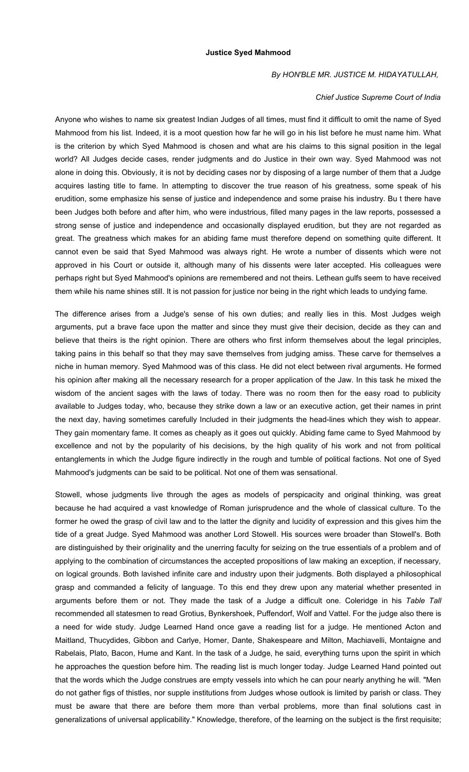## **Justice Syed Mahmood**

## *By HON'BLE MR. JUSTICE M. HIDAYATULLAH,*

## *Chief Justice Supreme Court of India*

Anyone who wishes to name six greatest Indian Judges of all times, must find it difficult to omit the name of Syed Mahmood from his list. Indeed, it is a moot question how far he will go in his list before he must name him. What is the criterion by which Syed Mahmood is chosen and what are his claims to this signal position in the legal world? All Judges decide cases, render judgments and do Justice in their own way. Syed Mahmood was not alone in doing this. Obviously, it is not by deciding cases nor by disposing of a large number of them that a Judge acquires lasting title to fame. In attempting to discover the true reason of his greatness, some speak of his erudition, some emphasize his sense of justice and independence and some praise his industry. Bu t there have been Judges both before and after him, who were industrious, filled many pages in the law reports, possessed a strong sense of justice and independence and occasionally displayed erudition, but they are not regarded as great. The greatness which makes for an abiding fame must therefore depend on something quite different. It cannot even be said that Syed Mahmood was always right. He wrote a number of dissents which were not approved in his Court or outside it, although many of his dissents were later accepted. His colleagues were perhaps right but Syed Mahmood's opinions are remembered and not theirs. Lethean gulfs seem to have received them while his name shines still. It is not passion for justice nor being in the right which leads to undying fame.

The difference arises from a Judge's sense of his own duties; and really lies in this. Most Judges weigh arguments, put a brave face upon the matter and since they must give their decision, decide as they can and believe that theirs is the right opinion. There are others who first inform themselves about the legal principles, taking pains in this behalf so that they may save themselves from judging amiss. These carve for themselves a niche in human memory. Syed Mahmood was of this class. He did not elect between rival arguments. He formed his opinion after making all the necessary research for a proper application of the Jaw. In this task he mixed the wisdom of the ancient sages with the laws of today. There was no room then for the easy road to publicity available to Judges today, who, because they strike down a law or an executive action, get their names in print the next day, having sometimes carefully Included in their judgments the head-lines which they wish to appear. They gain momentary fame. It comes as cheaply as it goes out quickly. Abiding fame came to Syed Mahmood by excellence and not by the popularity of his decisions, by the high quality of his work and not from political entanglements in which the Judge figure indirectly in the rough and tumble of political factions. Not one of Syed Mahmood's judgments can be said to be political. Not one of them was sensational.

Stowell, whose judgments live through the ages as models of perspicacity and original thinking, was great because he had acquired a vast knowledge of Roman jurisprudence and the whole of classical culture. To the former he owed the grasp of civil law and to the latter the dignity and lucidity of expression and this gives him the tide of a great Judge. Syed Mahmood was another Lord Stowell. His sources were broader than Stowell's. Both are distinguished by their originality and the unerring faculty for seizing on the true essentials of a problem and of applying to the combination of circumstances the accepted propositions of law making an exception, if necessary, on logical grounds. Both lavished infinite care and industry upon their judgments. Both displayed a philosophical grasp and commanded a felicity of language. To this end they drew upon any material whether presented in arguments before them or not. They made the task of a Judge a difficult one. Coleridge in his *Table Tall* recommended all statesmen to read Grotius, Bynkershoek, Puffendorf, Wolf and Vattel. For the judge also there is a need for wide study. Judge Learned Hand once gave a reading list for a judge. He mentioned Acton and Maitland, Thucydides, Gibbon and Carlye, Homer, Dante, Shakespeare and Milton, Machiavelli, Montaigne and Rabelais, Plato, Bacon, Hume and Kant. In the task of a Judge, he said, everything turns upon the spirit in which he approaches the question before him. The reading list is much longer today. Judge Learned Hand pointed out that the words which the Judge construes are empty vessels into which he can pour nearly anything he will. "Men do not gather figs of thistles, nor supple institutions from Judges whose outlook is limited by parish or class. They must be aware that there are before them more than verbal problems, more than final solutions cast in generalizations of universal applicability." Knowledge, therefore, of the learning on the subject is the first requisite;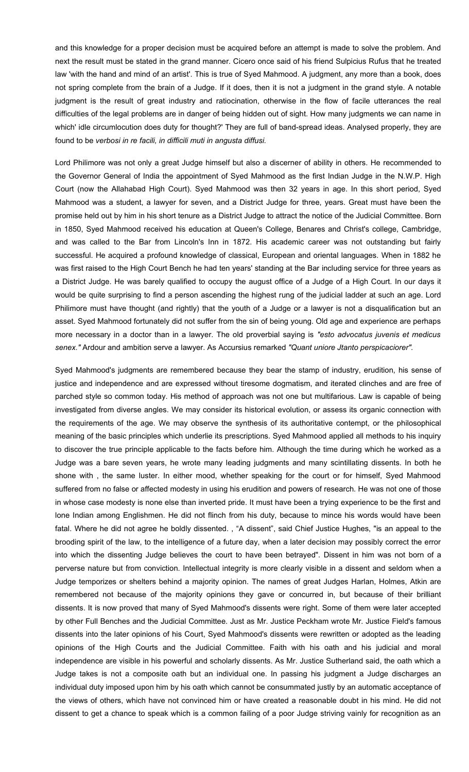and this knowledge for a proper decision must be acquired before an attempt is made to solve the problem. And next the result must be stated in the grand manner. Cicero once said of his friend Sulpicius Rufus that he treated law 'with the hand and mind of an artist'. This is true of Syed Mahmood. A judgment, any more than a book, does not spring complete from the brain of a Judge. If it does, then it is not a judgment in the grand style. A notable judgment is the result of great industry and ratiocination, otherwise in the flow of facile utterances the real difficulties of the legal problems are in danger of being hidden out of sight. How many judgments we can name in which' idle circumlocution does duty for thought?' They are full of band-spread ideas. Analysed properly, they are found to be *verbosi in re facili, in difficili muti in angusta diffusi.*

Lord Philimore was not only a great Judge himself but also a discerner of ability in others. He recommended to the Governor General of India the appointment of Syed Mahmood as the first Indian Judge in the N.W.P. High Court (now the Allahabad High Court). Syed Mahmood was then 32 years in age. In this short period, Syed Mahmood was a student, a lawyer for seven, and a District Judge for three, years. Great must have been the promise held out by him in his short tenure as a District Judge to attract the notice of the Judicial Committee. Born in 1850, Syed Mahmood received his education at Queen's College, Benares and Christ's college, Cambridge, and was called to the Bar from Lincoln's Inn in 1872. His academic career was not outstanding but fairly successful. He acquired a profound knowledge of classical, European and oriental languages. When in 1882 he was first raised to the High Court Bench he had ten years' standing at the Bar including service for three years as a District Judge. He was barely qualified to occupy the august office of a Judge of a High Court. In our days it would be quite surprising to find a person ascending the highest rung of the judicial ladder at such an age. Lord Philimore must have thought (and rightly) that the youth of a Judge or a lawyer is not a disqualification but an asset. Syed Mahmood fortunately did not suffer from the sin of being young. Old age and experience are perhaps more necessary in a doctor than in a lawyer. The old proverbial saying is *"esto advocatus juvenis et medicus senex."* Ardour and ambition serve a lawyer. As Accursius remarked *"Quant uniore Jtanto perspicaciorer".*

Syed Mahmood's judgments are remembered because they bear the stamp of industry, erudition, his sense of justice and independence and are expressed without tiresome dogmatism, and iterated clinches and are free of parched style so common today. His method of approach was not one but multifarious. Law is capable of being investigated from diverse angles. We may consider its historical evolution, or assess its organic connection with the requirements of the age. We may observe the synthesis of its authoritative contempt, or the philosophical meaning of the basic principles which underlie its prescriptions. Syed Mahmood applied all methods to his inquiry to discover the true principle applicable to the facts before him. Although the time during which he worked as a Judge was a bare seven years, he wrote many leading judgments and many scintillating dissents. In both he shone with , the same luster. In either mood, whether speaking for the court or for himself, Syed Mahmood suffered from no false or affected modesty in using his erudition and powers of research. He was not one of those in whose case modesty is none else than inverted pride. It must have been a trying experience to be the first and lone Indian among Englishmen. He did not flinch from his duty, because to mince his words would have been fatal. Where he did not agree he boldly dissented., "A dissent", said Chief Justice Hughes, "is an appeal to the brooding spirit of the law, to the intelligence of a future day, when a later decision may possibly correct the error into which the dissenting Judge believes the court to have been betrayed". Dissent in him was not born of a perverse nature but from conviction. Intellectual integrity is more clearly visible in a dissent and seldom when a Judge temporizes or shelters behind a majority opinion. The names of great Judges Harlan, Holmes, Atkin are remembered not because of the majority opinions they gave or concurred in, but because of their brilliant dissents. It is now proved that many of Syed Mahmood's dissents were right. Some of them were later accepted by other Full Benches and the Judicial Committee. Just as Mr. Justice Peckham wrote Mr. Justice Field's famous dissents into the later opinions of his Court, Syed Mahmood's dissents were rewritten or adopted as the leading opinions of the High Courts and the Judicial Committee. Faith with his oath and his judicial and moral independence are visible in his powerful and scholarly dissents. As Mr. Justice Sutherland said, the oath which a Judge takes is not a composite oath but an individual one. In passing his judgment a Judge discharges an individual duty imposed upon him by his oath which cannot be consummated justly by an automatic acceptance of the views of others, which have not convinced him or have created a reasonable doubt in his mind. He did not dissent to get a chance to speak which is a common failing of a poor Judge striving vainly for recognition as an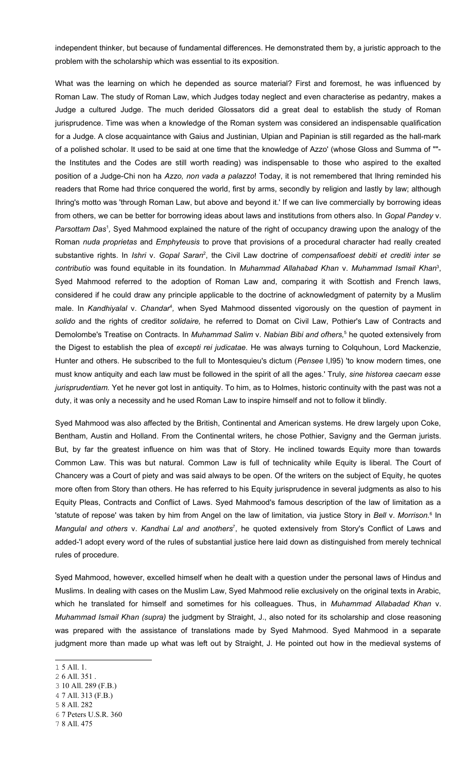independent thinker, but because of fundamental differences. He demonstrated them by, a juristic approach to the problem with the scholarship which was essential to its exposition.

What was the learning on which he depended as source material? First and foremost, he was influenced by Roman Law. The study of Roman Law, which Judges today neglect and even characterise as pedantry, makes a Judge a cultured Judge. The much derided Glossators did a great deal to establish the study of Roman jurisprudence. Time was when a knowledge of the Roman system was considered an indispensable qualification for a Judge. A close acquaintance with Gaius and Justinian, Ulpian and Papinian is still regarded as the hall-mark of a polished scholar. It used to be said at one time that the knowledge of Azzo' (whose Gloss and Summa of "" the Institutes and the Codes are still worth reading) was indispensable to those who aspired to the exalted position of a Judge-Chi non ha *Azzo, non vada a palazzo*! Today, it is not remembered that Ihring reminded his readers that Rome had thrice conquered the world, first by arms, secondly by religion and lastly by law; although Ihring's motto was 'through Roman Law, but above and beyond it.' If we can live commercially by borrowing ideas from others, we can be better for borrowing ideas about laws and institutions from others also. In *Gopal Pandey* v. Parsottam Das<sup>[1](#page-2-0)</sup>, Syed Mahmood explained the nature of the right of occupancy drawing upon the analogy of the Roman *nuda proprietas* and *Emphyteusis* to prove that provisions of a procedural character had really created substantive rights. In *Ishri* v. *Gopal Saran*<sup>[2](#page-2-1)</sup>, the Civil Law doctrine of *compensafioest debiti et crediti inter se contributio* was found equitable in its foundation. In *Muhammad Allahabad Khan* v. *Muhammad Ismail Khan* [3](#page-2-2) , Syed Mahmood referred to the adoption of Roman Law and, comparing it with Scottish and French laws, considered if he could draw any principle applicable to the doctrine of acknowledgment of paternity by a Muslim male. In *Kandhiyalal v. Chandar<sup>[4](#page-2-3)</sup>,* when Syed Mahmood dissented vigorously on the question of payment in *solido* and the rights of creditor *solidaire,* he referred to Domat on Civil Law, Pothier's Law of Contracts and Demolombe's Treatise on Contracts. In *Muhammad Salim* v. *Nabian Bibi and ofhers,*[5](#page-2-4) he quoted extensively from the Digest to establish the plea of *excepti rei judicatae*. He was always turning to Colquhoun, Lord Mackenzie, Hunter and others. He subscribed to the full to Montesquieu's dictum (*Pensee* I,I95) 'to know modern times, one must know antiquity and each law must be followed in the spirit of all the ages.' Truly, *sine historea caecam esse jurisprudentiam.* Yet he never got lost in antiquity. To him, as to Holmes, historic continuity with the past was not a duty, it was only a necessity and he used Roman Law to inspire himself and not to follow it blindly.

Syed Mahmood was also affected by the British, Continental and American systems. He drew largely upon Coke, Bentham, Austin and Holland. From the Continental writers, he chose Pothier, Savigny and the German jurists. But, by far the greatest influence on him was that of Story. He inclined towards Equity more than towards Common Law. This was but natural. Common Law is full of technicality while Equity is liberal. The Court of Chancery was a Court of piety and was said always to be open. Of the writers on the subject of Equity, he quotes more often from Story than others. He has referred to his Equity jurisprudence in several judgments as also to his Equity Pleas, Contracts and Conflict of Laws. Syed Mahmood's famous description of the law of limitation as a 'statute of repose' was taken by him from Angel on the law of limitation, via justice Story in *Bell* v. Morrison.<sup>[6](#page-2-5)</sup> In *Mangulal and others* v. *Kandhai Lal and anothers* [7](#page-2-6) , he quoted extensively from Story's Conflict of Laws and added-'I adopt every word of the rules of substantial justice here laid down as distinguished from merely technical rules of procedure.

Syed Mahmood, however, excelled himself when he dealt with a question under the personal laws of Hindus and Muslims. In dealing with cases on the Muslim Law, Syed Mahmood relie exclusively on the original texts in Arabic, which he translated for himself and sometimes for his colleagues. Thus, in *Muhammad Allabadad Khan* v. *Muhammad Ismail Khan (supra)* the judgment by Straight, J., also noted for its scholarship and close reasoning was prepared with the assistance of translations made by Syed Mahmood. Syed Mahmood in a separate judgment more than made up what was left out by Straight, J. He pointed out how in the medieval systems of

- <span id="page-2-1"></span>2 6 All. 351 .
- <span id="page-2-2"></span>3 10 All. 289 (F.B.)
- <span id="page-2-3"></span>4 7 All. 313 (F.B.)
- <span id="page-2-4"></span>5 8 All. 282
- <span id="page-2-5"></span>6 7 Peters U.S.R. 360
- <span id="page-2-6"></span>7 8 All. 475

<span id="page-2-0"></span><sup>1</sup> 5 All. 1.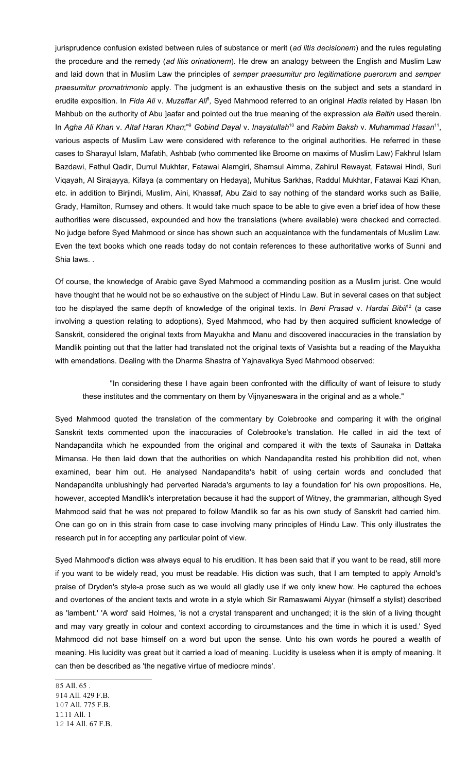jurisprudence confusion existed between rules of substance or merit (*ad litis decisionem*) and the rules regulating the procedure and the remedy (*ad litis orinationem*). He drew an analogy between the English and Muslim Law and laid down that in Muslim Law the principles of *semper praesumitur pro legitimatione puerorum* and *semper praesumitur promatrimonio* apply. The judgment is an exhaustive thesis on the subject and sets a standard in erudite exposition. In *Fida Ali* v. *Muzaffar Ali*<sup>[8](#page-3-0)</sup>, Syed Mahmood referred to an original *Hadis* related by Hasan Ibn Mahbub on the authority of Abu ]aafar and pointed out the true meaning of the expression *ala Baitin* used therein. In *Agha Ali Khan* v. *Altaf Haran Khan*;" [9](#page-3-1) *Gobind Dayal* v. *Inayatullah* [10](#page-3-2) and *Rabim Baksh* v. *Muhammad Hasan* [11](#page-3-3) , various aspects of Muslim Law were considered with reference to the original authorities. He referred in these cases to Sharayul Islam, Mafatih, Ashbab (who commented like Broome on maxims of Muslim Law) Fakhrul Islam Bazdawi, Fathul Qadir, Durrul Mukhtar, Fatawai Alamgiri, Shamsul Aimma, Zahirul Rewayat, Fatawai Hindi, Suri Viqayah, Al Sirajayya, Kifaya (a commentary on Hedaya), Muhitus Sarkhas, Raddul Mukhtar, Fatawai Kazi Khan, etc. in addition to Birjindi, Muslim, Aini, Khassaf, Abu Zaid to say nothing of the standard works such as Bailie, Grady, Hamilton, Rumsey and others. It would take much space to be able to give even a brief idea of how these authorities were discussed, expounded and how the translations (where available) were checked and corrected. No judge before Syed Mahmood or since has shown such an acquaintance with the fundamentals of Muslim Law. Even the text books which one reads today do not contain references to these authoritative works of Sunni and Shia laws. .

Of course, the knowledge of Arabic gave Syed Mahmood a commanding position as a Muslim jurist. One would have thought that he would not be so exhaustive on the subject of Hindu Law. But in several cases on that subject too he displayed the same depth of knowledge of the original texts. In *Beni Prasad* v. *Hardai Bibil* [12](#page-3-4) (a case involving a question relating to adoptions), Syed Mahmood, who had by then acquired sufficient knowledge of Sanskrit, considered the original texts from Mayukha and Manu and discovered inaccuracies in the translation by Mandlik pointing out that the latter had translated not the original texts of Vasishta but a reading of the Mayukha with emendations. Dealing with the Dharma Shastra of Yajnavalkya Syed Mahmood observed:

"In considering these I have again been confronted with the difficulty of want of leisure to study these institutes and the commentary on them by Vijnyaneswara in the original and as a whole."

Syed Mahmood quoted the translation of the commentary by Colebrooke and comparing it with the original Sanskrit texts commented upon the inaccuracies of Colebrooke's translation. He called in aid the text of Nandapandita which he expounded from the original and compared it with the texts of Saunaka in Dattaka Mimansa. He then laid down that the authorities on which Nandapandita rested his prohibition did not, when examined, bear him out. He analysed Nandapandita's habit of using certain words and concluded that Nandapandita unblushingly had perverted Narada's arguments to lay a foundation for' his own propositions. He, however, accepted MandIik's interpretation because it had the support of Witney, the grammarian, although Syed Mahmood said that he was not prepared to follow Mandlik so far as his own study of Sanskrit had carried him. One can go on in this strain from case to case involving many principles of Hindu Law. This only illustrates the research put in for accepting any particular point of view.

Syed Mahmood's diction was always equal to his erudition. It has been said that if you want to be read, still more if you want to be widely read, you must be readable. His diction was such, that I am tempted to apply Arnold's praise of Dryden's style-a prose such as we would all gladly use if we only knew how. He captured the echoes and overtones of the ancient texts and wrote in a style which Sir Ramaswami Aiyyar (himself a stylist) described as 'lambent.' 'A word' said Holmes, 'is not a crystal transparent and unchanged; it is the skin of a living thought and may vary greatly in colour and context according to circumstances and the time in which it is used.' Syed Mahmood did not base himself on a word but upon the sense. Unto his own words he poured a wealth of meaning. His lucidity was great but it carried a load of meaning. Lucidity is useless when it is empty of meaning. It can then be described as 'the negative virtue of mediocre minds'.

<span id="page-3-4"></span><span id="page-3-3"></span><span id="page-3-2"></span><span id="page-3-1"></span><span id="page-3-0"></span>5 All. 65 . 14 All. 429 F.B. 7 All. 775 F.B. 1111 All. 1 14 All. 67 F.B.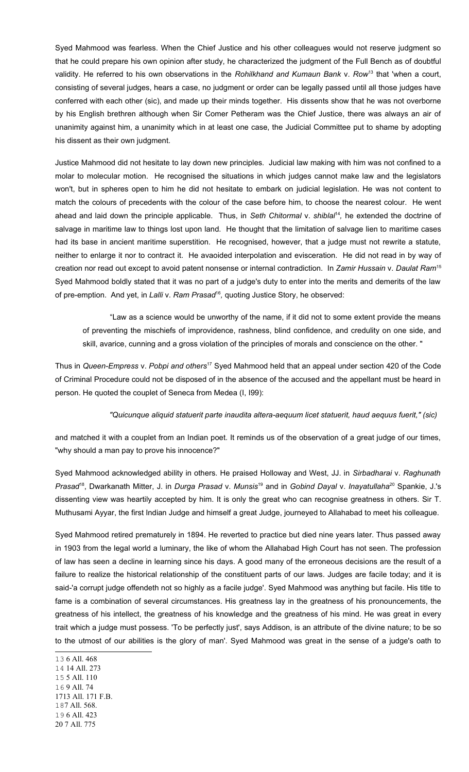Syed Mahmood was fearless. When the Chief Justice and his other colleagues would not reserve judgment so that he could prepare his own opinion after study, he characterized the judgment of the Full Bench as of doubtful validity. He referred to his own observations in the *Rohilkhand and Kumaun Bank* v. *Row* [13](#page-4-0) that 'when a court, consisting of several judges, hears a case, no judgment or order can be legally passed until all those judges have conferred with each other (sic), and made up their minds together. His dissents show that he was not overborne by his English brethren although when Sir Comer Petheram was the Chief Justice, there was always an air of unanimity against him, a unanimity which in at least one case, the Judicial Committee put to shame by adopting his dissent as their own judgment.

Justice Mahmood did not hesitate to lay down new principles. Judicial law making with him was not confined to a molar to molecular motion. He recognised the situations in which judges cannot make law and the legislators won't, but in spheres open to him he did not hesitate to embark on judicial legislation. He was not content to match the colours of precedents with the colour of the case before him, to choose the nearest colour. He went ahead and laid down the principle applicable. Thus, in Seth Chitormal v. shiblal<sup>[14](#page-4-1)</sup>, he extended the doctrine of salvage in maritime law to things lost upon land. He thought that the limitation of salvage lien to maritime cases had its base in ancient maritime superstition. He recognised, however, that a judge must not rewrite a statute, neither to enlarge it nor to contract it. He avaoided interpolation and evisceration. He did not read in by way of creation nor read out except to avoid patent nonsense or internal contradiction. In *Zamir Hussain* v. *Daulat Ram*[15](#page-4-2) Syed Mahmood boldly stated that it was no part of a judge's duty to enter into the merits and demerits of the law of pre-emption. And yet, in Lalli v. Ram Prasad<sup>[16](#page-4-3)</sup>, quoting Justice Story, he observed:

"Law as a science would be unworthy of the name, if it did not to some extent provide the means of preventing the mischiefs of improvidence, rashness, blind confidence, and credulity on one side, and skill, avarice, cunning and a gross violation of the principles of morals and conscience on the other. "

Thus in *Queen-Empress* v. *Pobpi and others* [17](#page-4-4) Syed Mahmood held that an appeal under section 420 of the Code of Criminal Procedure could not be disposed of in the absence of the accused and the appellant must be heard in person. He quoted the couplet of Seneca from Medea (I, I99):

## *"Quicunque aliquid statuerit parte inaudita altera-aequum licet statuerit, haud aequus fuerit," (sic)*

and matched it with a couplet from an Indian poet. It reminds us of the observation of a great judge of our times, "why should a man pay to prove his innocence?"

Syed Mahmood acknowledged ability in others. He praised Holloway and West, JJ. in *Sirbadharai* v. *Raghunath Prasad* [18](#page-4-5) , Dwarkanath Mitter, J. in *Durga Prasad* v. *Munsis* [19](#page-4-6) and in *Gobind Dayal* v. *Inayatullaha* [20](#page-4-7) Spankie, J.'s dissenting view was heartily accepted by him. It is only the great who can recognise greatness in others. Sir T. Muthusami Ayyar, the first Indian Judge and himself a great Judge, journeyed to Allahabad to meet his colleague.

Syed Mahmood retired prematurely in 1894. He reverted to practice but died nine years later. Thus passed away in 1903 from the legal world a luminary, the like of whom the Allahabad High Court has not seen. The profession of law has seen a decline in learning since his days. A good many of the erroneous decisions are the result of a failure to realize the historical relationship of the constituent parts of our laws. Judges are facile today; and it is said-'a corrupt judge offendeth not so highly as a facile judge'. Syed Mahmood was anything but facile. His title to fame is a combination of several circumstances. His greatness lay in the greatness of his pronouncements, the greatness of his intellect, the greatness of his knowledge and the greatness of his mind. He was great in every trait which a judge must possess. 'To be perfectly just', says Addison, is an attribute of the divine nature; to be so to the utmost of our abilities is the glory of man'. Syed Mahmood was great in the sense of a judge's oath to

<span id="page-4-7"></span><span id="page-4-6"></span><span id="page-4-5"></span><span id="page-4-4"></span><span id="page-4-3"></span><span id="page-4-2"></span><span id="page-4-1"></span><span id="page-4-0"></span><sup>13</sup> 6 All. 468